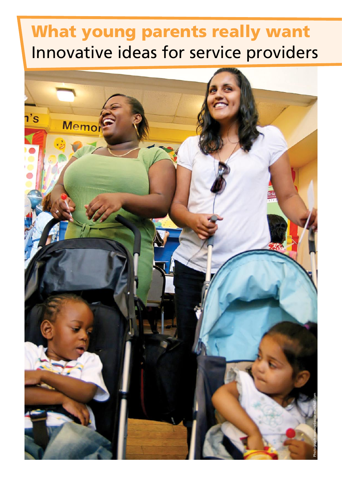# What young parents really want Innovative ideas for service providers

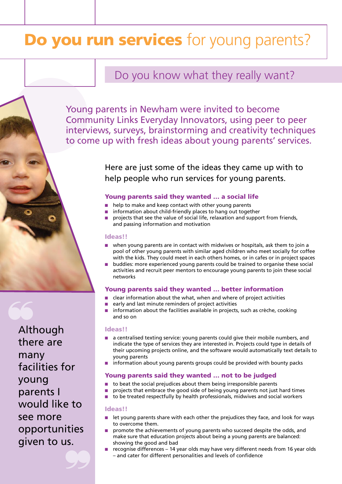# Do you run services for young parents?

# Do you know what they really want?

Young parents in Newham were invited to become Community Links Everyday Innovators, using peer to peer interviews, surveys, brainstorming and creativity techniques to come up with fresh ideas about young parents' services.

> Here are just some of the ideas they came up with to help people who run services for young parents.

## Young parents said they wanted … a social life

- help to make and keep contact with other young parents
- information about child-friendly places to hang out together
- projects that see the value of social life, relaxation and support from friends, and passing information and motivation

## Ideas!!

- when young parents are in contact with midwives or hospitals, ask them to join a pool of other young parents with similar aged children who meet socially for coffee with the kids. They could meet in each others homes, or in cafes or in project spaces
- buddies: more experienced young parents could be trained to organise these social activities and recruit peer mentors to encourage young parents to join these social networks

# Young parents said they wanted … better information

- clear information about the what, when and where of project activities
- early and last minute reminders of project activities
- information about the facilities available in projects, such as crèche, cooking and so on

#### Ideas!!

- a centralised texting service: young parents could give their mobile numbers, and indicate the type of services they are interested in. Projects could type in details of their upcoming projects online, and the software would automatically text details to young parents
- information about young parents groups could be provided with bounty packs

## Young parents said they wanted … not to be judged

- to beat the social prejudices about them being irresponsible parents
- projects that embrace the good side of being young parents not just hard times
- to be treated respectfully by health professionals, midwives and social workers

#### Ideas!!

- let young parents share with each other the prejudices they face, and look for ways to overcome them.
- promote the achievements of young parents who succeed despite the odds, and make sure that education projects about being a young parents are balanced: showing the good and bad
- recognise differences 14 year olds may have very different needs from 16 year olds – and cater for different personalities and levels of confidence

Although there are many facilities for young parents I would like to see more opportunities given to us.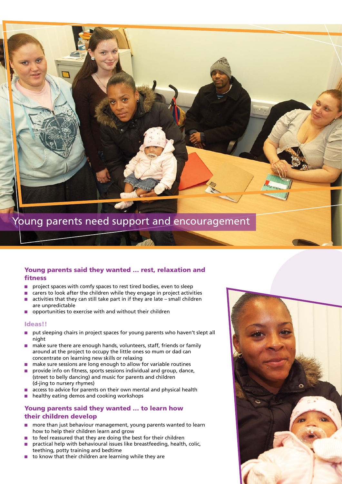

# Young parents said they wanted … rest, relaxation and fitness

- project spaces with comfy spaces to rest tired bodies, even to sleep
- carers to look after the children while they engage in project activities
- $\blacksquare$  activities that they can still take part in if they are late small children are unpredictable
- opportunities to exercise with and without their children

#### Ideas!!

- put sleeping chairs in project spaces for young parents who haven't slept all night
- make sure there are enough hands, volunteers, staff, friends or family around at the project to occupy the little ones so mum or dad can concentrate on learning new skills or relaxing
- make sure sessions are long enough to allow for variable routines
- provide info on fitness, sports sessions individual and group, dance, (street to belly dancing) and music for parents and children (d-jing to nursery rhymes)
- access to advice for parents on their own mental and physical health
- healthy eating demos and cooking workshops

# Young parents said they wanted … to learn how their children develop

- more than just behaviour management, young parents wanted to learn how to help their children learn and grow
- to feel reassured that they are doing the best for their children
- practical help with behavioural issues like breastfeeding, health, colic, teething, potty training and bedtime
- to know that their children are learning while they are